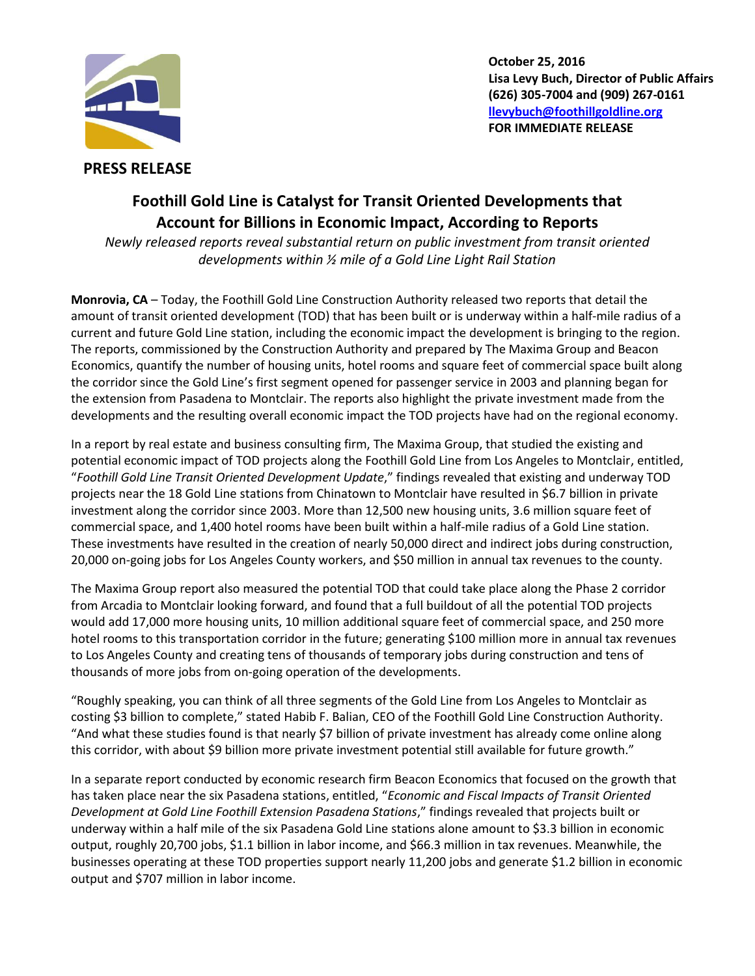

**October 25, 2016 Lisa Levy Buch, Director of Public Affairs (626) 305-7004 and (909) 267-0161 [llevybuch@foothillgoldline.org](mailto:llevybuch@foothillgoldline.org) FOR IMMEDIATE RELEASE**

## **PRESS RELEASE**

## **Foothill Gold Line is Catalyst for Transit Oriented Developments that Account for Billions in Economic Impact, According to Reports**

*Newly released reports reveal substantial return on public investment from transit oriented developments within ½ mile of a Gold Line Light Rail Station*

**Monrovia, CA** – Today, the Foothill Gold Line Construction Authority released two reports that detail the amount of transit oriented development (TOD) that has been built or is underway within a half-mile radius of a current and future Gold Line station, including the economic impact the development is bringing to the region. The reports, commissioned by the Construction Authority and prepared by The Maxima Group and Beacon Economics, quantify the number of housing units, hotel rooms and square feet of commercial space built along the corridor since the Gold Line's first segment opened for passenger service in 2003 and planning began for the extension from Pasadena to Montclair. The reports also highlight the private investment made from the developments and the resulting overall economic impact the TOD projects have had on the regional economy.

In a report by real estate and business consulting firm, The Maxima Group, that studied the existing and potential economic impact of TOD projects along the Foothill Gold Line from Los Angeles to Montclair, entitled, "*Foothill Gold Line Transit Oriented Development Update*," findings revealed that existing and underway TOD projects near the 18 Gold Line stations from Chinatown to Montclair have resulted in \$6.7 billion in private investment along the corridor since 2003. More than 12,500 new housing units, 3.6 million square feet of commercial space, and 1,400 hotel rooms have been built within a half-mile radius of a Gold Line station. These investments have resulted in the creation of nearly 50,000 direct and indirect jobs during construction, 20,000 on-going jobs for Los Angeles County workers, and \$50 million in annual tax revenues to the county.

The Maxima Group report also measured the potential TOD that could take place along the Phase 2 corridor from Arcadia to Montclair looking forward, and found that a full buildout of all the potential TOD projects would add 17,000 more housing units, 10 million additional square feet of commercial space, and 250 more hotel rooms to this transportation corridor in the future; generating \$100 million more in annual tax revenues to Los Angeles County and creating tens of thousands of temporary jobs during construction and tens of thousands of more jobs from on-going operation of the developments.

"Roughly speaking, you can think of all three segments of the Gold Line from Los Angeles to Montclair as costing \$3 billion to complete," stated Habib F. Balian, CEO of the Foothill Gold Line Construction Authority. "And what these studies found is that nearly \$7 billion of private investment has already come online along this corridor, with about \$9 billion more private investment potential still available for future growth."

In a separate report conducted by economic research firm Beacon Economics that focused on the growth that has taken place near the six Pasadena stations, entitled, "*Economic and Fiscal Impacts of Transit Oriented Development at Gold Line Foothill Extension Pasadena Stations*," findings revealed that projects built or underway within a half mile of the six Pasadena Gold Line stations alone amount to \$3.3 billion in economic output, roughly 20,700 jobs, \$1.1 billion in labor income, and \$66.3 million in tax revenues. Meanwhile, the businesses operating at these TOD properties support nearly 11,200 jobs and generate \$1.2 billion in economic output and \$707 million in labor income.